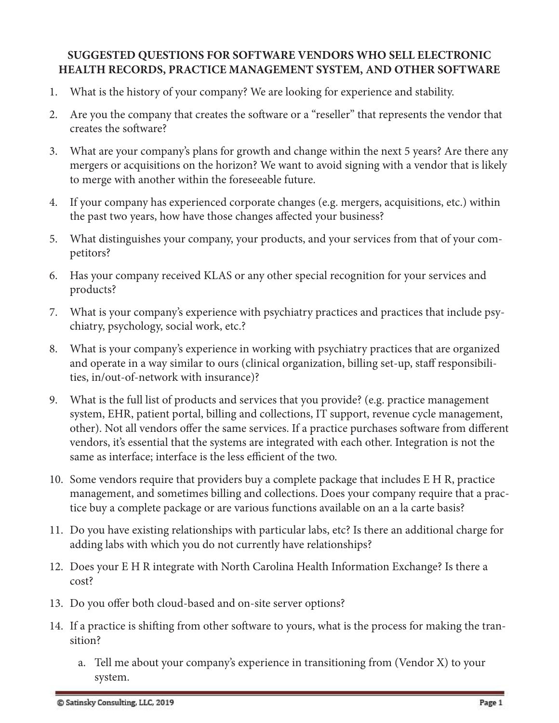## **SUGGESTED QUESTIONS FOR SOFTWARE VENDORS WHO SELL ELECTRONIC HEALTH RECORDS, PRACTICE MANAGEMENT SYSTEM, AND OTHER SOFTWARE**

- 1. What is the history of your company? We are looking for experience and stability.
- 2. Are you the company that creates the software or a "reseller" that represents the vendor that creates the software?
- 3. What are your company's plans for growth and change within the next 5 years? Are there any mergers or acquisitions on the horizon? We want to avoid signing with a vendor that is likely to merge with another within the foreseeable future.
- 4. If your company has experienced corporate changes (e.g. mergers, acquisitions, etc.) within the past two years, how have those changes affected your business?
- 5. What distinguishes your company, your products, and your services from that of your competitors?
- 6. Has your company received KLAS or any other special recognition for your services and products?
- 7. What is your company's experience with psychiatry practices and practices that include psychiatry, psychology, social work, etc.?
- 8. What is your company's experience in working with psychiatry practices that are organized and operate in a way similar to ours (clinical organization, billing set-up, staff responsibilities, in/out-of-network with insurance)?
- 9. What is the full list of products and services that you provide? (e.g. practice management system, EHR, patient portal, billing and collections, IT support, revenue cycle management, other). Not all vendors offer the same services. If a practice purchases software from different vendors, it's essential that the systems are integrated with each other. Integration is not the same as interface; interface is the less efficient of the two.
- 10. Some vendors require that providers buy a complete package that includes E H R, practice management, and sometimes billing and collections. Does your company require that a practice buy a complete package or are various functions available on an a la carte basis?
- 11. Do you have existing relationships with particular labs, etc? Is there an additional charge for adding labs with which you do not currently have relationships?
- 12. Does your E H R integrate with North Carolina Health Information Exchange? Is there a cost?
- 13. Do you offer both cloud-based and on-site server options?
- 14. If a practice is shifting from other software to yours, what is the process for making the transition?
	- a. Tell me about your company's experience in transitioning from (Vendor X) to your system.